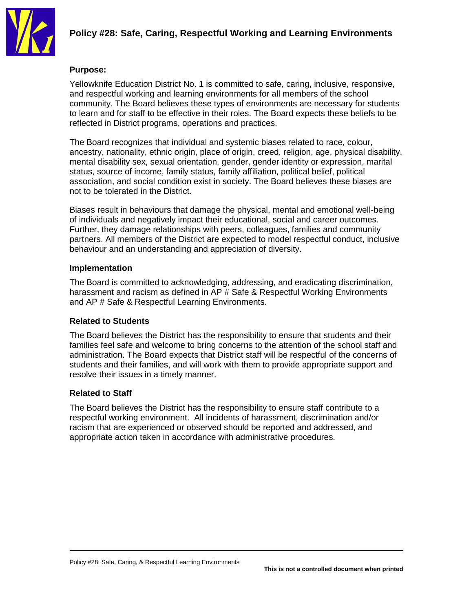

# **Policy #28: Safe, Caring, Respectful Working and Learning Environments**

#### **Purpose:**

Yellowknife Education District No. 1 is committed to safe, caring, inclusive, responsive, and respectful working and learning environments for all members of the school community. The Board believes these types of environments are necessary for students to learn and for staff to be effective in their roles. The Board expects these beliefs to be reflected in District programs, operations and practices.

The Board recognizes that individual and systemic biases related to race, colour, ancestry, nationality, ethnic origin, place of origin, creed, religion, age, physical disability, mental disability sex, sexual orientation, gender, gender identity or expression, marital status, source of income, family status, family affiliation, political belief, political association, and social condition exist in society. The Board believes these biases are not to be tolerated in the District.

Biases result in behaviours that damage the physical, mental and emotional well-being of individuals and negatively impact their educational, social and career outcomes. Further, they damage relationships with peers, colleagues, families and community partners. All members of the District are expected to model respectful conduct, inclusive behaviour and an understanding and appreciation of diversity.

### **Implementation**

The Board is committed to acknowledging, addressing, and eradicating discrimination, harassment and racism as defined in AP # Safe & Respectful Working Environments and AP # Safe & Respectful Learning Environments.

#### **Related to Students**

The Board believes the District has the responsibility to ensure that students and their families feel safe and welcome to bring concerns to the attention of the school staff and administration. The Board expects that District staff will be respectful of the concerns of students and their families, and will work with them to provide appropriate support and resolve their issues in a timely manner.

#### **Related to Staff**

The Board believes the District has the responsibility to ensure staff contribute to a respectful working environment. All incidents of harassment, discrimination and/or racism that are experienced or observed should be reported and addressed, and appropriate action taken in accordance with administrative procedures.